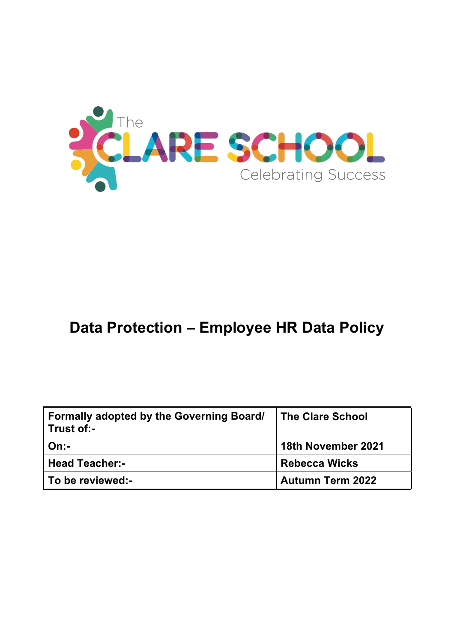

# **Data Protection – Employee HR Data Policy**

| <b>Formally adopted by the Governing Board/</b><br>Trust of:- | <b>The Clare School</b> |
|---------------------------------------------------------------|-------------------------|
| $On -$                                                        | 18th November 2021      |
| <b>Head Teacher:-</b>                                         | <b>Rebecca Wicks</b>    |
| To be reviewed:-                                              | <b>Autumn Term 2022</b> |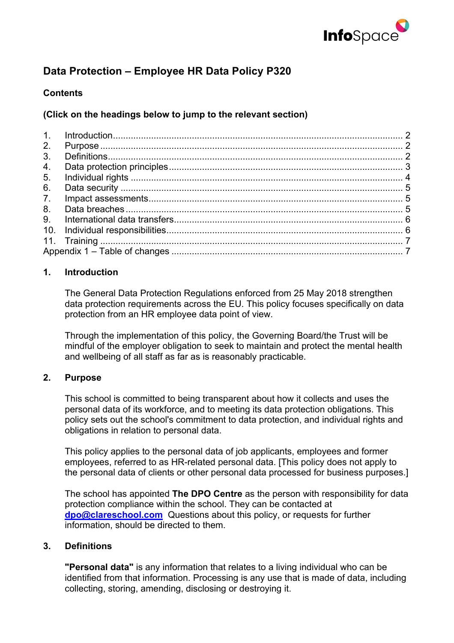

# **Data Protection – Employee HR Data Policy P320**

# **Contents**

# **(Click on the headings below to jump to the relevant section)**

| 2.             |  |  |  |
|----------------|--|--|--|
| 3 <sub>1</sub> |  |  |  |
| 4.             |  |  |  |
| 5.             |  |  |  |
| 6.             |  |  |  |
| 7 <sub>1</sub> |  |  |  |
| 8.             |  |  |  |
|                |  |  |  |
|                |  |  |  |
|                |  |  |  |
|                |  |  |  |

#### **1. Introduction**

The General Data Protection Regulations enforced from 25 May 2018 strengthen data protection requirements across the EU. This policy focuses specifically on data protection from an HR employee data point of view.

Through the implementation of this policy, the Governing Board/the Trust will be mindful of the employer obligation to seek to maintain and protect the mental health and wellbeing of all staff as far as is reasonably practicable.

#### **2. Purpose**

This school is committed to being transparent about how it collects and uses the personal data of its workforce, and to meeting its data protection obligations. This policy sets out the school's commitment to data protection, and individual rights and obligations in relation to personal data.

This policy applies to the personal data of job applicants, employees and former employees, referred to as HR-related personal data. [This policy does not apply to the personal data of clients or other personal data processed for business purposes.]

The school has appointed **The DPO Centre** as the person with responsibility for data protection compliance within the school. They can be contacted at **dpo@clareschool.com** Questions about this policy, or requests for further information, should be directed to them.

#### **3. Definitions**

**"Personal data"** is any information that relates to a living individual who can be identified from that information. Processing is any use that is made of data, including collecting, storing, amending, disclosing or destroying it.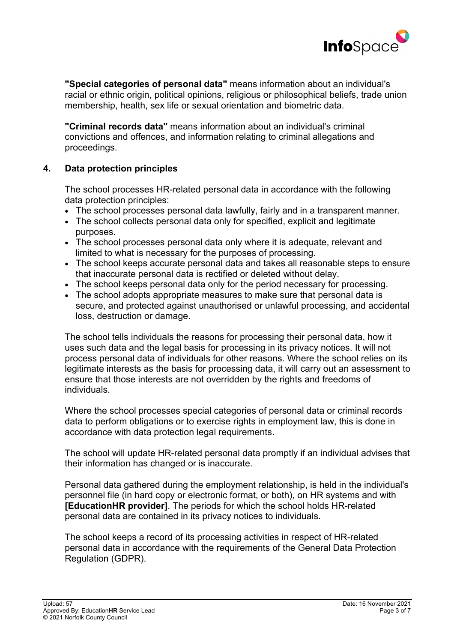

**"Special categories of personal data"** means information about an individual's racial or ethnic origin, political opinions, religious or philosophical beliefs, trade union membership, health, sex life or sexual orientation and biometric data.

**"Criminal records data"** means information about an individual's criminal convictions and offences, and information relating to criminal allegations and proceedings.

# **4. Data protection principles**

The school processes HR-related personal data in accordance with the following data protection principles:

- The school processes personal data lawfully, fairly and in a transparent manner.
- The school collects personal data only for specified, explicit and legitimate purposes.
- The school processes personal data only where it is adequate, relevant and limited to what is necessary for the purposes of processing.
- The school keeps accurate personal data and takes all reasonable steps to ensure that inaccurate personal data is rectified or deleted without delay.
- The school keeps personal data only for the period necessary for processing.
- The school adopts appropriate measures to make sure that personal data is secure, and protected against unauthorised or unlawful processing, and accidental loss, destruction or damage.

The school tells individuals the reasons for processing their personal data, how it uses such data and the legal basis for processing in its privacy notices. It will not process personal data of individuals for other reasons. Where the school relies on its legitimate interests as the basis for processing data, it will carry out an assessment to ensure that those interests are not overridden by the rights and freedoms of individuals.

Where the school processes special categories of personal data or criminal records data to perform obligations or to exercise rights in employment law, this is done in accordance with data protection legal requirements.

The school will update HR-related personal data promptly if an individual advises that their information has changed or is inaccurate.

Personal data gathered during the employment relationship, is held in the individual's personnel file (in hard copy or electronic format, or both), on HR systems and with **[EducationHR provider]**. The periods for which the school holds HR-related personal data are contained in its privacy notices to individuals.

The school keeps a record of its processing activities in respect of HR-related personal data in accordance with the requirements of the General Data Protection Regulation (GDPR).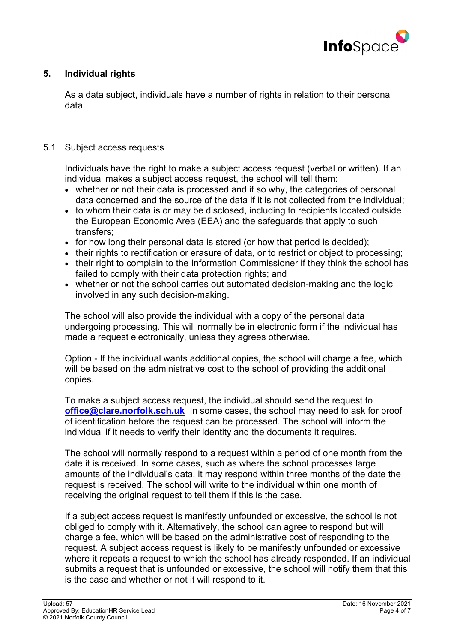

# **5. Individual rights**

As a data subject, individuals have a number of rights in relation to their personal data.

#### 5.1 Subject access requests

Individuals have the right to make a subject access request (verbal or written). If an individual makes a subject access request, the school will tell them:

- whether or not their data is processed and if so why, the categories of personal data concerned and the source of the data if it is not collected from the individual;
- to whom their data is or may be disclosed, including to recipients located outside the European Economic Area (EEA) and the safeguards that apply to such transfers;
- for how long their personal data is stored (or how that period is decided);
- their rights to rectification or erasure of data, or to restrict or object to processing;
- their right to complain to the Information Commissioner if they think the school has failed to comply with their data protection rights; and
- whether or not the school carries out automated decision-making and the logic involved in any such decision-making.

The school will also provide the individual with a copy of the personal data undergoing processing. This will normally be in electronic form if the individual has made a request electronically, unless they agrees otherwise.

Option - If the individual wants additional copies, the school will charge a fee, which will be based on the administrative cost to the school of providing the additional copies.

To make a subject access request, the individual should send the request to **office@clare.norfolk.sch.uk** In some cases, the school may need to ask for proof of identification before the request can be processed. The school will inform the individual if it needs to verify their identity and the documents it requires.

The school will normally respond to a request within a period of one month from the date it is received. In some cases, such as where the school processes large amounts of the individual's data, it may respond within three months of the date the request is received. The school will write to the individual within one month of receiving the original request to tell them if this is the case.

If a subject access request is manifestly unfounded or excessive, the school is not obliged to comply with it. Alternatively, the school can agree to respond but will charge a fee, which will be based on the administrative cost of responding to the request. A subject access request is likely to be manifestly unfounded or excessive where it repeats a request to which the school has already responded. If an individual submits a request that is unfounded or excessive, the school will notify them that this is the case and whether or not it will respond to it.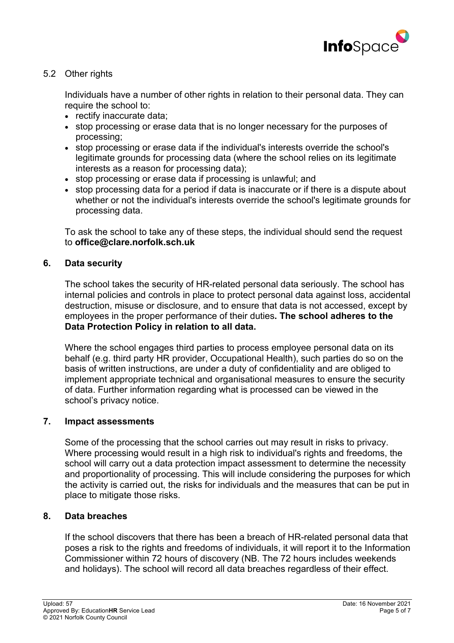

# 5.2 Other rights

Individuals have a number of other rights in relation to their personal data. They can require the school to:

- rectify inaccurate data:
- stop processing or erase data that is no longer necessary for the purposes of processing;
- stop processing or erase data if the individual's interests override the school's legitimate grounds for processing data (where the school relies on its legitimate interests as a reason for processing data);
- stop processing or erase data if processing is unlawful; and
- stop processing data for a period if data is inaccurate or if there is a dispute about whether or not the individual's interests override the school's legitimate grounds for processing data.

To ask the school to take any of these steps, the individual should send the request to **office@clare.norfolk.sch.uk**

# **6. Data security**

The school takes the security of HR-related personal data seriously. The school has internal policies and controls in place to protect personal data against loss, accidental destruction, misuse or disclosure, and to ensure that data is not accessed, except by employees in the proper performance of their duties**. The school adheres to the Data Protection Policy in relation to all data.**

Where the school engages third parties to process employee personal data on its behalf (e.g. third party HR provider, Occupational Health), such parties do so on the basis of written instructions, are under a duty of confidentiality and are obliged to implement appropriate technical and organisational measures to ensure the security of data. Further information regarding what is processed can be viewed in the school's privacy notice.

#### **7. Impact assessments**

Some of the processing that the school carries out may result in risks to privacy. Where processing would result in a high risk to individual's rights and freedoms, the school will carry out a data protection impact assessment to determine the necessity and proportionality of processing. This will include considering the purposes for which the activity is carried out, the risks for individuals and the measures that can be put in place to mitigate those risks.

#### **8. Data breaches**

If the school discovers that there has been a breach of HR-related personal data that poses a risk to the rights and freedoms of individuals, it will report it to the Information Commissioner within 72 hours of discovery (NB. The 72 hours includes weekends and holidays). The school will record all data breaches regardless of their effect.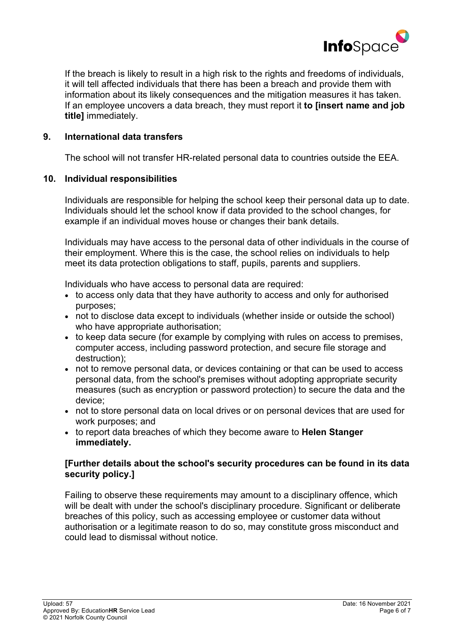

If the breach is likely to result in a high risk to the rights and freedoms of individuals, it will tell affected individuals that there has been a breach and provide them with information about its likely consequences and the mitigation measures it has taken. If an employee uncovers a data breach, they must report it **to [insert name and job title]** immediately.

#### **9. International data transfers**

The school will not transfer HR-related personal data to countries outside the EEA.

#### **10. Individual responsibilities**

Individuals are responsible for helping the school keep their personal data up to date. Individuals should let the school know if data provided to the school changes, for example if an individual moves house or changes their bank details.

Individuals may have access to the personal data of other individuals in the course of their employment. Where this is the case, the school relies on individuals to help meet its data protection obligations to staff, pupils, parents and suppliers.

Individuals who have access to personal data are required:

- to access only data that they have authority to access and only for authorised purposes;
- not to disclose data except to individuals (whether inside or outside the school) who have appropriate authorisation;
- to keep data secure (for example by complying with rules on access to premises, computer access, including password protection, and secure file storage and destruction);
- not to remove personal data, or devices containing or that can be used to access personal data, from the school's premises without adopting appropriate security measures (such as encryption or password protection) to secure the data and the device;
- not to store personal data on local drives or on personal devices that are used for work purposes; and
- to report data breaches of which they become aware to **Helen Stanger immediately.**

#### **[Further details about the school's security procedures can be found in its data security policy.]**

Failing to observe these requirements may amount to a disciplinary offence, which will be dealt with under the school's disciplinary procedure. Significant or deliberate breaches of this policy, such as accessing employee or customer data without authorisation or a legitimate reason to do so, may constitute gross misconduct and could lead to dismissal without notice.